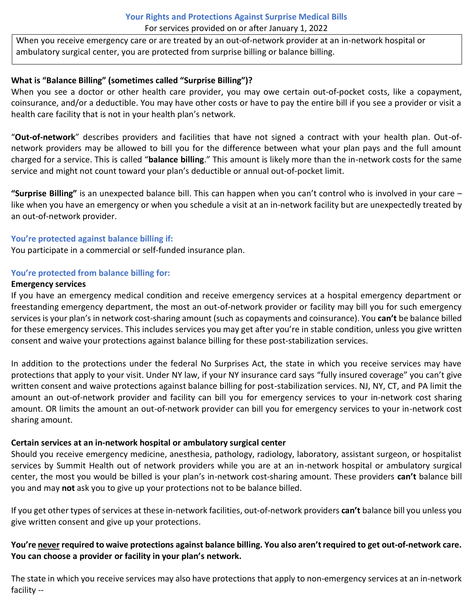# **Your Rights and Protections Against Surprise Medical Bills** For services provided on or after January 1, 2022

When you receive emergency care or are treated by an out-of-network provider at an in-network hospital or ambulatory surgical center, you are protected from surprise billing or balance billing.

# **What is "Balance Billing" (sometimes called "Surprise Billing")?**

When you see a doctor or other health care provider, you may owe certain out-of-pocket costs, like a copayment, coinsurance, and/or a deductible. You may have other costs or have to pay the entire bill if you see a provider or visit a health care facility that is not in your health plan's network.

"**Out-of-network**" describes providers and facilities that have not signed a contract with your health plan. Out-ofnetwork providers may be allowed to bill you for the difference between what your plan pays and the full amount charged for a service. This is called "**balance billing**." This amount is likely more than the in-network costs for the same service and might not count toward your plan's deductible or annual out-of-pocket limit.

**"Surprise Billing"** is an unexpected balance bill. This can happen when you can't control who is involved in your care – like when you have an emergency or when you schedule a visit at an in-network facility but are unexpectedly treated by an out-of-network provider.

### **You're protected against balance billing if:**

You participate in a commercial or self-funded insurance plan.

### **You're protected from balance billing for:**

#### **Emergency services**

If you have an emergency medical condition and receive emergency services at a hospital emergency department or freestanding emergency department, the most an out-of-network provider or facility may bill you for such emergency services is your plan's in network cost-sharing amount (such as copayments and coinsurance). You **can't** be balance billed for these emergency services. This includes services you may get after you're in stable condition, unless you give written consent and waive your protections against balance billing for these post-stabilization services.

In addition to the protections under the federal No Surprises Act, the state in which you receive services may have protections that apply to your visit. Under NY law, if your NY insurance card says "fully insured coverage" you can't give written consent and waive protections against balance billing for post-stabilization services. NJ, NY, CT, and PA limit the amount an out-of-network provider and facility can bill you for emergency services to your in-network cost sharing amount. OR limits the amount an out-of-network provider can bill you for emergency services to your in-network cost sharing amount.

# **Certain services at an in-network hospital or ambulatory surgical center**

Should you receive emergency medicine, anesthesia, pathology, radiology, laboratory, assistant surgeon, or hospitalist services by Summit Health out of network providers while you are at an in-network hospital or ambulatory surgical center, the most you would be billed is your plan's in-network cost-sharing amount. These providers **can't** balance bill you and may **not** ask you to give up your protections not to be balance billed.

If you get other types of services at these in-network facilities, out-of-network providers can't balance bill you unless you give written consent and give up your protections.

# You're never required to waive protections against balance billing. You also aren't required to get out-of-network care. **You can choose a provider or facility in your plan's network.**

The state in which you receive services may also have protections that apply to non-emergency services at an in-network facility --